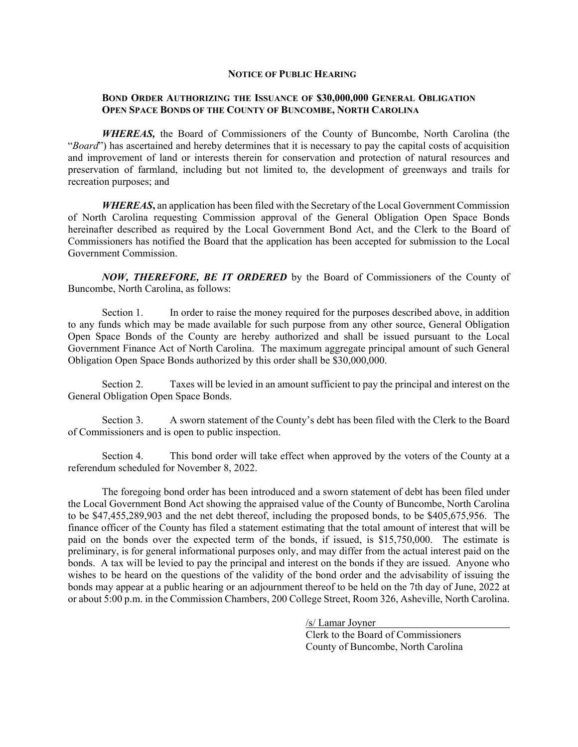## **NOTICE OF PUBLIC HEARING**

## **BOND ORDER AUTHORIZING THE ISSUANCE OF \$30,000,000 GENERAL OBLIGATION OPEN SPACE BONDS OF THE COUNTY OF BUNCOMBE, NORTH CAROLINA**

*WHEREAS,* the Board of Commissioners of the County of Buncombe, North Carolina (the "*Board*") has ascertained and hereby determines that it is necessary to pay the capital costs of acquisition and improvement of land or interests therein for conservation and protection of natural resources and preservation of farmland, including but not limited to, the development of greenways and trails for recreation purposes; and

*WHEREAS***,** an application has been filed with the Secretary of the Local Government Commission of North Carolina requesting Commission approval of the General Obligation Open Space Bonds hereinafter described as required by the Local Government Bond Act, and the Clerk to the Board of Commissioners has notified the Board that the application has been accepted for submission to the Local Government Commission.

*NOW, THEREFORE, BE IT ORDERED* by the Board of Commissioners of the County of Buncombe, North Carolina, as follows:

Section 1. In order to raise the money required for the purposes described above, in addition to any funds which may be made available for such purpose from any other source, General Obligation Open Space Bonds of the County are hereby authorized and shall be issued pursuant to the Local Government Finance Act of North Carolina. The maximum aggregate principal amount of such General Obligation Open Space Bonds authorized by this order shall be \$30,000,000.

Section 2. Taxes will be levied in an amount sufficient to pay the principal and interest on the General Obligation Open Space Bonds.

Section 3. A sworn statement of the County's debt has been filed with the Clerk to the Board of Commissioners and is open to public inspection.

Section 4. This bond order will take effect when approved by the voters of the County at a referendum scheduled for November 8, 2022.

 The foregoing bond order has been introduced and a sworn statement of debt has been filed under the Local Government Bond Act showing the appraised value of the County of Buncombe, North Carolina to be \$47,455,289,903 and the net debt thereof, including the proposed bonds, to be \$405,675,956. The finance officer of the County has filed a statement estimating that the total amount of interest that will be paid on the bonds over the expected term of the bonds, if issued, is \$15,750,000. The estimate is preliminary, is for general informational purposes only, and may differ from the actual interest paid on the bonds. A tax will be levied to pay the principal and interest on the bonds if they are issued. Anyone who wishes to be heard on the questions of the validity of the bond order and the advisability of issuing the bonds may appear at a public hearing or an adjournment thereof to be held on the 7th day of June, 2022 at or about 5:00 p.m. in the Commission Chambers, 200 College Street, Room 326, Asheville, North Carolina.

> /s/ Lamar Joyner Clerk to the Board of Commissioners County of Buncombe, North Carolina